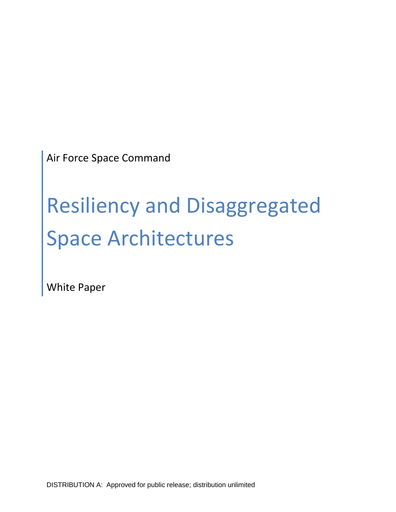Air Force Space Command

# Resiliency and Disaggregated Space Architectures

White Paper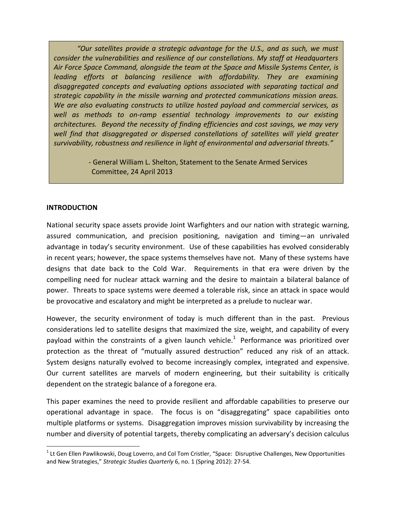*"Our satellites provide a strategic advantage for the U.S., and as such, we must consider the vulnerabilities and resilience of our constellations. My staff at Headquarters Air Force Space Command, alongside the team at the Space and Missile Systems Center, is leading efforts at balancing resilience with affordability. They are examining disaggregated concepts and evaluating options associated with separating tactical and strategic capability in the missile warning and protected communications mission areas. We are also evaluating constructs to utilize hosted payload and commercial services, as well as methods to on-ramp essential technology improvements to our existing architectures. Beyond the necessity of finding efficiencies and cost savings, we may very well find that disaggregated or dispersed constellations of satellites will yield greater survivability, robustness and resilience in light of environmental and adversarial threats."*

> - General William L. Shelton, Statement to the Senate Armed Services Committee, 24 April 2013

#### **INTRODUCTION**

l

National security space assets provide Joint Warfighters and our nation with strategic warning, assured communication, and precision positioning, navigation and timing—an unrivaled advantage in today's security environment. Use of these capabilities has evolved considerably in recent years; however, the space systems themselves have not. Many of these systems have designs that date back to the Cold War. Requirements in that era were driven by the compelling need for nuclear attack warning and the desire to maintain a bilateral balance of power. Threats to space systems were deemed a tolerable risk, since an attack in space would be provocative and escalatory and might be interpreted as a prelude to nuclear war.

However, the security environment of today is much different than in the past. Previous considerations led to satellite designs that maximized the size, weight, and capability of every payload within the constraints of a given launch vehicle.<sup>1</sup> Performance was prioritized over protection as the threat of "mutually assured destruction" reduced any risk of an attack. System designs naturally evolved to become increasingly complex, integrated and expensive. Our current satellites are marvels of modern engineering, but their suitability is critically dependent on the strategic balance of a foregone era.

This paper examines the need to provide resilient and affordable capabilities to preserve our operational advantage in space. The focus is on "disaggregating" space capabilities onto multiple platforms or systems. Disaggregation improves mission survivability by increasing the number and diversity of potential targets, thereby complicating an adversary's decision calculus

<sup>&</sup>lt;sup>1</sup> Lt Gen Ellen Pawlikowski, Doug Loverro, and Col Tom Cristler, "Space: Disruptive Challenges, New Opportunities and New Strategies," *Strategic Studies Quarterly* 6, no. 1 (Spring 2012): 27-54.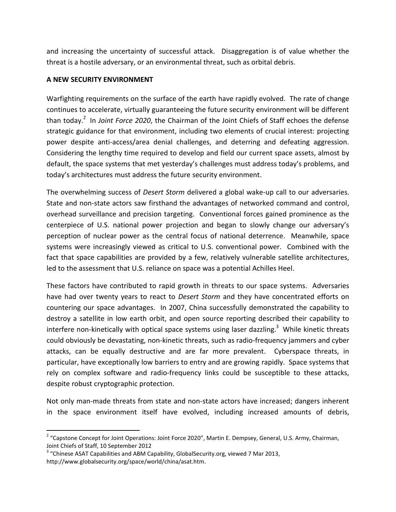and increasing the uncertainty of successful attack. Disaggregation is of value whether the threat is a hostile adversary, or an environmental threat, such as orbital debris.

## **A NEW SECURITY ENVIRONMENT**

Warfighting requirements on the surface of the earth have rapidly evolved. The rate of change continues to accelerate, virtually guaranteeing the future security environment will be different than today. 2 In *Joint Force 2020*, the Chairman of the Joint Chiefs of Staff echoes the defense strategic guidance for that environment, including two elements of crucial interest: projecting power despite anti-access/area denial challenges, and deterring and defeating aggression. Considering the lengthy time required to develop and field our current space assets, almost by default, the space systems that met yesterday's challenges must address today's problems, and today's architectures must address the future security environment.

The overwhelming success of *Desert Storm* delivered a global wake-up call to our adversaries. State and non-state actors saw firsthand the advantages of networked command and control, overhead surveillance and precision targeting. Conventional forces gained prominence as the centerpiece of U.S. national power projection and began to slowly change our adversary's perception of nuclear power as the central focus of national deterrence. Meanwhile, space systems were increasingly viewed as critical to U.S. conventional power. Combined with the fact that space capabilities are provided by a few, relatively vulnerable satellite architectures, led to the assessment that U.S. reliance on space was a potential Achilles Heel.

These factors have contributed to rapid growth in threats to our space systems. Adversaries have had over twenty years to react to *Desert Storm* and they have concentrated efforts on countering our space advantages. In 2007, China successfully demonstrated the capability to destroy a satellite in low earth orbit, and open source reporting described their capability to interfere non-kinetically with optical space systems using laser dazzling.<sup>3</sup> While kinetic threats could obviously be devastating, non-kinetic threats, such as radio-frequency jammers and cyber attacks, can be equally destructive and are far more prevalent. Cyberspace threats, in particular, have exceptionally low barriers to entry and are growing rapidly. Space systems that rely on complex software and radio-frequency links could be susceptible to these attacks, despite robust cryptographic protection.

Not only man-made threats from state and non-state actors have increased; dangers inherent in the space environment itself have evolved, including increased amounts of debris,

 $\overline{a}$ 

<sup>&</sup>lt;sup>2</sup> "Capstone Concept for Joint Operations: Joint Force 2020", Martin E. Dempsey, General, U.S. Army, Chairman, Joint Chiefs of Staff, 10 September 2012

 $3$  "Chinese ASAT Capabilities and ABM Capability, GlobalSecurity.org, viewed 7 Mar 2013, http://www.globalsecurity.org/space/world/china/asat.htm.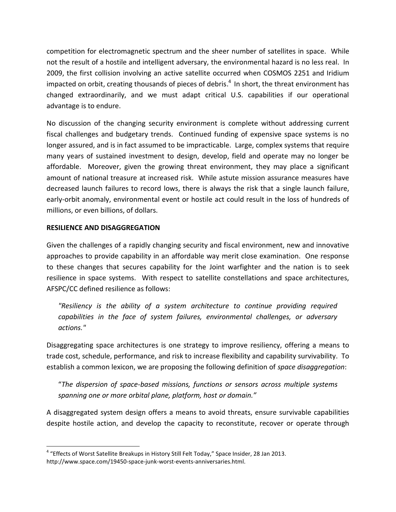competition for electromagnetic spectrum and the sheer number of satellites in space. While not the result of a hostile and intelligent adversary, the environmental hazard is no less real. In 2009, the first collision involving an active satellite occurred when COSMOS 2251 and Iridium impacted on orbit, creating thousands of pieces of debris.<sup>4</sup> In short, the threat environment has changed extraordinarily, and we must adapt critical U.S. capabilities if our operational advantage is to endure.

No discussion of the changing security environment is complete without addressing current fiscal challenges and budgetary trends. Continued funding of expensive space systems is no longer assured, and is in fact assumed to be impracticable. Large, complex systems that require many years of sustained investment to design, develop, field and operate may no longer be affordable. Moreover, given the growing threat environment, they may place a significant amount of national treasure at increased risk. While astute mission assurance measures have decreased launch failures to record lows, there is always the risk that a single launch failure, early-orbit anomaly, environmental event or hostile act could result in the loss of hundreds of millions, or even billions, of dollars.

## **RESILIENCE AND DISAGGREGATION**

l

Given the challenges of a rapidly changing security and fiscal environment, new and innovative approaches to provide capability in an affordable way merit close examination. One response to these changes that secures capability for the Joint warfighter and the nation is to seek resilience in space systems. With respect to satellite constellations and space architectures, AFSPC/CC defined resilience as follows:

*"Resiliency is the ability of a system architecture to continue providing required capabilities in the face of system failures, environmental challenges, or adversary actions."*

Disaggregating space architectures is one strategy to improve resiliency, offering a means to trade cost, schedule, performance, and risk to increase flexibility and capability survivability. To establish a common lexicon, we are proposing the following definition of *space disaggregation*:

"*The dispersion of space-based missions, functions or sensors across multiple systems spanning one or more orbital plane, platform, host or domain."*

A disaggregated system design offers a means to avoid threats, ensure survivable capabilities despite hostile action, and develop the capacity to reconstitute, recover or operate through

<sup>&</sup>lt;sup>4</sup> "Effects of Worst Satellite Breakups in History Still Felt Today," Space Insider, 28 Jan 2013. http://www.space.com/19450-space-junk-worst-events-anniversaries.html.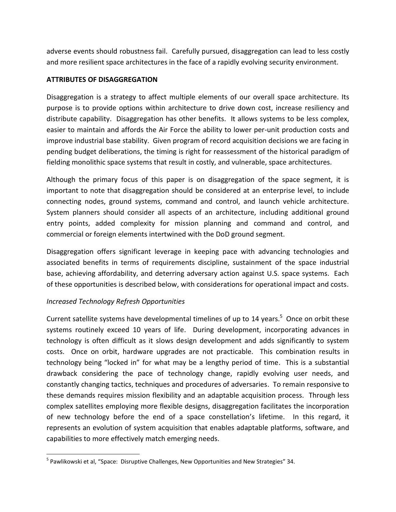adverse events should robustness fail. Carefully pursued, disaggregation can lead to less costly and more resilient space architectures in the face of a rapidly evolving security environment.

## **ATTRIBUTES OF DISAGGREGATION**

Disaggregation is a strategy to affect multiple elements of our overall space architecture. Its purpose is to provide options within architecture to drive down cost, increase resiliency and distribute capability. Disaggregation has other benefits. It allows systems to be less complex, easier to maintain and affords the Air Force the ability to lower per-unit production costs and improve industrial base stability. Given program of record acquisition decisions we are facing in pending budget deliberations, the timing is right for reassessment of the historical paradigm of fielding monolithic space systems that result in costly, and vulnerable, space architectures.

Although the primary focus of this paper is on disaggregation of the space segment, it is important to note that disaggregation should be considered at an enterprise level, to include connecting nodes, ground systems, command and control, and launch vehicle architecture. System planners should consider all aspects of an architecture, including additional ground entry points, added complexity for mission planning and command and control, and commercial or foreign elements intertwined with the DoD ground segment.

Disaggregation offers significant leverage in keeping pace with advancing technologies and associated benefits in terms of requirements discipline, sustainment of the space industrial base, achieving affordability, and deterring adversary action against U.S. space systems. Each of these opportunities is described below, with considerations for operational impact and costs.

# *Increased Technology Refresh Opportunities*

 $\overline{\phantom{a}}$ 

Current satellite systems have developmental timelines of up to 14 years.<sup>5</sup> Once on orbit these systems routinely exceed 10 years of life. During development, incorporating advances in technology is often difficult as it slows design development and adds significantly to system costs. Once on orbit, hardware upgrades are not practicable. This combination results in technology being "locked in" for what may be a lengthy period of time. This is a substantial drawback considering the pace of technology change, rapidly evolving user needs, and constantly changing tactics, techniques and procedures of adversaries. To remain responsive to these demands requires mission flexibility and an adaptable acquisition process. Through less complex satellites employing more flexible designs, disaggregation facilitates the incorporation of new technology before the end of a space constellation's lifetime. In this regard, it represents an evolution of system acquisition that enables adaptable platforms, software, and capabilities to more effectively match emerging needs.

<sup>&</sup>lt;sup>5</sup> Pawlikowski et al, "Space: Disruptive Challenges, New Opportunities and New Strategies" 34.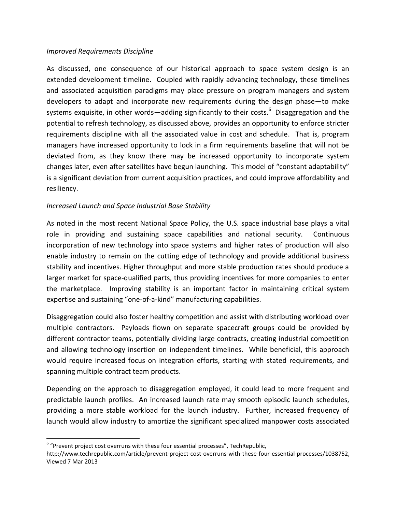## *Improved Requirements Discipline*

As discussed, one consequence of our historical approach to space system design is an extended development timeline. Coupled with rapidly advancing technology, these timelines and associated acquisition paradigms may place pressure on program managers and system developers to adapt and incorporate new requirements during the design phase—to make systems exquisite, in other words—adding significantly to their costs.<sup>6</sup> Disaggregation and the potential to refresh technology, as discussed above, provides an opportunity to enforce stricter requirements discipline with all the associated value in cost and schedule. That is, program managers have increased opportunity to lock in a firm requirements baseline that will not be deviated from, as they know there may be increased opportunity to incorporate system changes later, even after satellites have begun launching. This model of "constant adaptability" is a significant deviation from current acquisition practices, and could improve affordability and resiliency.

# *Increased Launch and Space Industrial Base Stability*

As noted in the most recent National Space Policy, the U.S. space industrial base plays a vital role in providing and sustaining space capabilities and national security. Continuous incorporation of new technology into space systems and higher rates of production will also enable industry to remain on the cutting edge of technology and provide additional business stability and incentives. Higher throughput and more stable production rates should produce a larger market for space-qualified parts, thus providing incentives for more companies to enter the marketplace. Improving stability is an important factor in maintaining critical system expertise and sustaining "one-of-a-kind" manufacturing capabilities.

Disaggregation could also foster healthy competition and assist with distributing workload over multiple contractors. Payloads flown on separate spacecraft groups could be provided by different contractor teams, potentially dividing large contracts, creating industrial competition and allowing technology insertion on independent timelines. While beneficial, this approach would require increased focus on integration efforts, starting with stated requirements, and spanning multiple contract team products.

Depending on the approach to disaggregation employed, it could lead to more frequent and predictable launch profiles. An increased launch rate may smooth episodic launch schedules, providing a more stable workload for the launch industry. Further, increased frequency of launch would allow industry to amortize the significant specialized manpower costs associated

 $\overline{\phantom{a}}$  $6$  "Prevent project cost overruns with these four essential processes", TechRepublic,

http://www.techrepublic.com/article/prevent-project-cost-overruns-with-these-four-essential-processes/1038752, Viewed 7 Mar 2013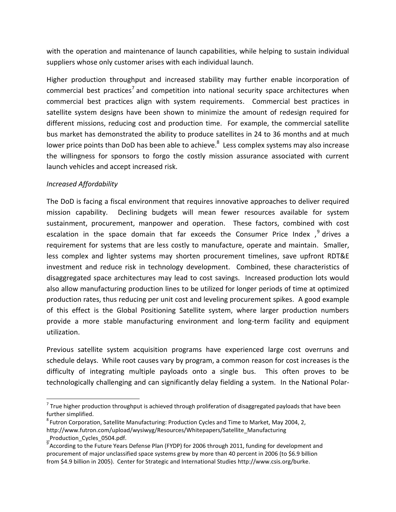with the operation and maintenance of launch capabilities, while helping to sustain individual suppliers whose only customer arises with each individual launch.

Higher production throughput and increased stability may further enable incorporation of commercial best practices<sup>7</sup> and competition into national security space architectures when commercial best practices align with system requirements. Commercial best practices in satellite system designs have been shown to minimize the amount of redesign required for different missions, reducing cost and production time. For example, the commercial satellite bus market has demonstrated the ability to produce satellites in 24 to 36 months and at much lower price points than DoD has been able to achieve.<sup>8</sup> Less complex systems may also increase the willingness for sponsors to forgo the costly mission assurance associated with current launch vehicles and accept increased risk.

## *Increased Affordability*

 $\overline{\phantom{a}}$ 

The DoD is facing a fiscal environment that requires innovative approaches to deliver required mission capability. Declining budgets will mean fewer resources available for system sustainment, procurement, manpower and operation. These factors, combined with cost escalation in the space domain that far exceeds the Consumer Price Index ,<sup>9</sup> drives a requirement for systems that are less costly to manufacture, operate and maintain. Smaller, less complex and lighter systems may shorten procurement timelines, save upfront RDT&E investment and reduce risk in technology development. Combined, these characteristics of disaggregated space architectures may lead to cost savings. Increased production lots would also allow manufacturing production lines to be utilized for longer periods of time at optimized production rates, thus reducing per unit cost and leveling procurement spikes. A good example of this effect is the Global Positioning Satellite system, where larger production numbers provide a more stable manufacturing environment and long-term facility and equipment utilization.

Previous satellite system acquisition programs have experienced large cost overruns and schedule delays. While root causes vary by program, a common reason for cost increases is the difficulty of integrating multiple payloads onto a single bus. This often proves to be technologically challenging and can significantly delay fielding a system. In the National Polar-

<sup>&</sup>lt;sup>7</sup> True higher production throughput is achieved through proliferation of disaggregated payloads that have been further simplified.

 ${}^{8}$ Futron Corporation, Satellite Manufacturing: Production Cycles and Time to Market, May 2004, 2, http://www.futron.com/upload/wysiwyg/Resources/Whitepapers/Satellite\_Manufacturing \_Production\_Cycles\_0504.pdf.

<sup>&</sup>lt;sup>9</sup> According to the Future Years Defense Plan (FYDP) for 2006 through 2011, funding for development and procurement of major unclassified space systems grew by more than 40 percent in 2006 (to \$6.9 billion from \$4.9 billion in 2005). Center for Strategic and International Studies http://www.csis.org/burke.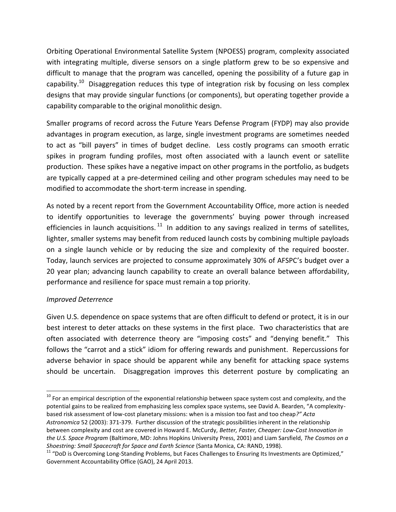Orbiting Operational Environmental Satellite System (NPOESS) program, complexity associated with integrating multiple, diverse sensors on a single platform grew to be so expensive and difficult to manage that the program was cancelled, opening the possibility of a future gap in capability.<sup>10</sup> Disaggregation reduces this type of integration risk by focusing on less complex designs that may provide singular functions (or components), but operating together provide a capability comparable to the original monolithic design.

Smaller programs of record across the Future Years Defense Program (FYDP) may also provide advantages in program execution, as large, single investment programs are sometimes needed to act as "bill payers" in times of budget decline. Less costly programs can smooth erratic spikes in program funding profiles, most often associated with a launch event or satellite production. These spikes have a negative impact on other programs in the portfolio, as budgets are typically capped at a pre-determined ceiling and other program schedules may need to be modified to accommodate the short-term increase in spending.

As noted by a recent report from the Government Accountability Office, more action is needed to identify opportunities to leverage the governments' buying power through increased efficiencies in launch acquisitions.  $^{11}$  In addition to any savings realized in terms of satellites, lighter, smaller systems may benefit from reduced launch costs by combining multiple payloads on a single launch vehicle or by reducing the size and complexity of the required booster. Today, launch services are projected to consume approximately 30% of AFSPC's budget over a 20 year plan; advancing launch capability to create an overall balance between affordability, performance and resilience for space must remain a top priority.

# *Improved Deterrence*

l

Given U.S. dependence on space systems that are often difficult to defend or protect, it is in our best interest to deter attacks on these systems in the first place. Two characteristics that are often associated with deterrence theory are "imposing costs" and "denying benefit." This follows the "carrot and a stick" idiom for offering rewards and punishment. Repercussions for adverse behavior in space should be apparent while any benefit for attacking space systems should be uncertain. Disaggregation improves this deterrent posture by complicating an

 $10$  For an empirical description of the exponential relationship between space system cost and complexity, and the potential gains to be realized from emphasizing less complex space systems, see David A. Bearden, "A complexitybased risk assessment of low-cost planetary missions: when is a mission too fast and too cheap*?" Acta Astronomica* 52 (2003): 371-379. Further discussion of the strategic possibilities inherent in the relationship between complexity and cost are covered in Howard E. McCurdy, *Better, Faster, Cheaper: Low-Cost Innovation in the U.S. Space Program* (Baltimore, MD: Johns Hopkins University Press, 2001) and Liam Sarsfield, *The Cosmos on a Shoestring: Small Spacecraft for Space and Earth Science* (Santa Monica, CA: RAND, 1998).

 $11$  "DoD is Overcoming Long-Standing Problems, but Faces Challenges to Ensuring Its Investments are Optimized," Government Accountability Office (GAO), 24 April 2013.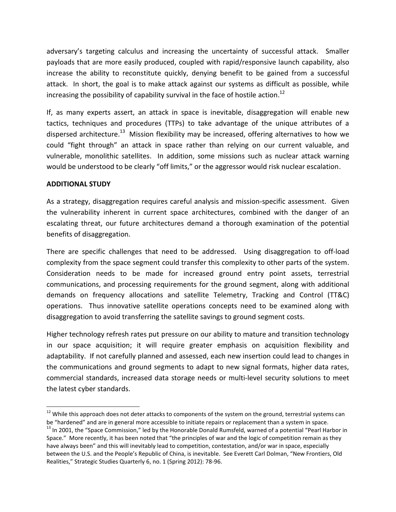adversary's targeting calculus and increasing the uncertainty of successful attack. Smaller payloads that are more easily produced, coupled with rapid/responsive launch capability, also increase the ability to reconstitute quickly, denying benefit to be gained from a successful attack. In short, the goal is to make attack against our systems as difficult as possible, while increasing the possibility of capability survival in the face of hostile action.<sup>12</sup>

If, as many experts assert, an attack in space is inevitable, disaggregation will enable new tactics, techniques and procedures (TTPs) to take advantage of the unique attributes of a dispersed architecture.<sup>13</sup> Mission flexibility may be increased, offering alternatives to how we could "fight through" an attack in space rather than relying on our current valuable, and vulnerable, monolithic satellites. In addition, some missions such as nuclear attack warning would be understood to be clearly "off limits," or the aggressor would risk nuclear escalation.

## **ADDITIONAL STUDY**

 $\overline{\phantom{a}}$ 

As a strategy, disaggregation requires careful analysis and mission-specific assessment. Given the vulnerability inherent in current space architectures, combined with the danger of an escalating threat, our future architectures demand a thorough examination of the potential benefits of disaggregation.

There are specific challenges that need to be addressed. Using disaggregation to off-load complexity from the space segment could transfer this complexity to other parts of the system. Consideration needs to be made for increased ground entry point assets, terrestrial communications, and processing requirements for the ground segment, along with additional demands on frequency allocations and satellite Telemetry, Tracking and Control (TT&C) operations. Thus innovative satellite operations concepts need to be examined along with disaggregation to avoid transferring the satellite savings to ground segment costs.

Higher technology refresh rates put pressure on our ability to mature and transition technology in our space acquisition; it will require greater emphasis on acquisition flexibility and adaptability. If not carefully planned and assessed, each new insertion could lead to changes in the communications and ground segments to adapt to new signal formats, higher data rates, commercial standards, increased data storage needs or multi-level security solutions to meet the latest cyber standards.

<sup>&</sup>lt;sup>12</sup> While this approach does not deter attacks to components of the system on the ground, terrestrial systems can be "hardened" and are in general more accessible to initiate repairs or replacement than a system in space.

<sup>&</sup>lt;sup>13</sup> In 2001, the "Space Commission," led by the Honorable Donald Rumsfeld, warned of a potential "Pearl Harbor in Space." More recently, it has been noted that "the principles of war and the logic of competition remain as they have always been" and this will inevitably lead to competition, contestation, and/or war in space, especially between the U.S. and the People's Republic of China, is inevitable. See Everett Carl Dolman, "New Frontiers, Old Realities," Strategic Studies Quarterly 6, no. 1 (Spring 2012): 78-96.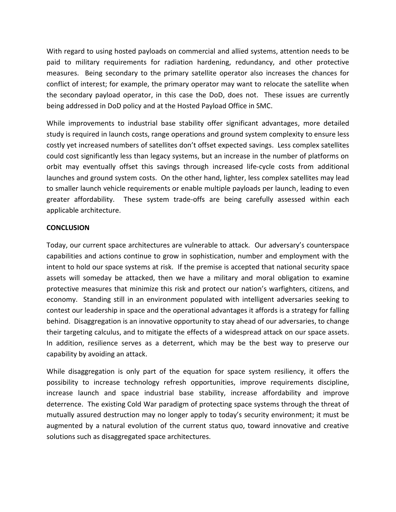With regard to using hosted payloads on commercial and allied systems, attention needs to be paid to military requirements for radiation hardening, redundancy, and other protective measures. Being secondary to the primary satellite operator also increases the chances for conflict of interest; for example, the primary operator may want to relocate the satellite when the secondary payload operator, in this case the DoD, does not. These issues are currently being addressed in DoD policy and at the Hosted Payload Office in SMC.

While improvements to industrial base stability offer significant advantages, more detailed study is required in launch costs, range operations and ground system complexity to ensure less costly yet increased numbers of satellites don't offset expected savings. Less complex satellites could cost significantly less than legacy systems, but an increase in the number of platforms on orbit may eventually offset this savings through increased life-cycle costs from additional launches and ground system costs. On the other hand, lighter, less complex satellites may lead to smaller launch vehicle requirements or enable multiple payloads per launch, leading to even greater affordability. These system trade-offs are being carefully assessed within each applicable architecture.

## **CONCLUSION**

Today, our current space architectures are vulnerable to attack. Our adversary's counterspace capabilities and actions continue to grow in sophistication, number and employment with the intent to hold our space systems at risk. If the premise is accepted that national security space assets will someday be attacked, then we have a military and moral obligation to examine protective measures that minimize this risk and protect our nation's warfighters, citizens, and economy. Standing still in an environment populated with intelligent adversaries seeking to contest our leadership in space and the operational advantages it affords is a strategy for falling behind. Disaggregation is an innovative opportunity to stay ahead of our adversaries, to change their targeting calculus, and to mitigate the effects of a widespread attack on our space assets. In addition, resilience serves as a deterrent, which may be the best way to preserve our capability by avoiding an attack.

While disaggregation is only part of the equation for space system resiliency, it offers the possibility to increase technology refresh opportunities, improve requirements discipline, increase launch and space industrial base stability, increase affordability and improve deterrence. The existing Cold War paradigm of protecting space systems through the threat of mutually assured destruction may no longer apply to today's security environment; it must be augmented by a natural evolution of the current status quo, toward innovative and creative solutions such as disaggregated space architectures.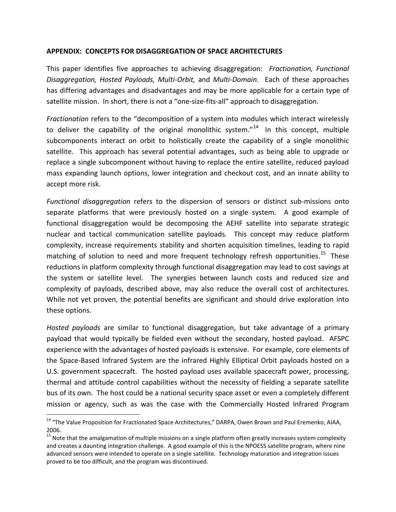#### **APPENDIX: CONCEPTS FOR DISAGGREGATION OF SPACE ARCHITECTURES**

This paper identifies five approaches to achieving disaggregation: *Fractionation, Functional Disaggregation, Hosted Payloads, Multi-Orbit,* and *Multi-Domain*. Each of these approaches has differing advantages and disadvantages and may be more applicable for a certain type of satellite mission. In short, there is not a "one-size-fits-all" approach to disaggregation.

*Fractionation* refers to the "decomposition of a system into modules which interact wirelessly to deliver the capability of the original monolithic system."<sup>14</sup> In this concept, multiple subcomponents interact on orbit to holistically create the capability of a single monolithic satellite. This approach has several potential advantages, such as being able to upgrade or replace a single subcomponent without having to replace the entire satellite, reduced payload mass expanding launch options, lower integration and checkout cost, and an innate ability to accept more risk.

*Functional disaggregation* refers to the dispersion of sensors or distinct sub-missions onto separate platforms that were previously hosted on a single system. A good example of functional disaggregation would be decomposing the AEHF satellite into separate strategic nuclear and tactical communication satellite payloads. This concept may reduce platform complexity, increase requirements stability and shorten acquisition timelines, leading to rapid matching of solution to need and more frequent technology refresh opportunities.<sup>15</sup> These reductions in platform complexity through functional disaggregation may lead to cost savings at the system or satellite level. The synergies between launch costs and reduced size and complexity of payloads, described above, may also reduce the overall cost of architectures. While not yet proven, the potential benefits are significant and should drive exploration into these options.

*Hosted payloads* are similar to functional disaggregation, but take advantage of a primary payload that would typically be fielded even without the secondary, hosted payload. AFSPC experience with the advantages of hosted payloads is extensive. For example, core elements of the Space-Based Infrared System are the infrared Highly Elliptical Orbit payloads hosted on a U.S. government spacecraft. The hosted payload uses available spacecraft power, processing, thermal and attitude control capabilities without the necessity of fielding a separate satellite bus of its own. The host could be a national security space asset or even a completely different mission or agency, such as was the case with the Commercially Hosted Infrared Program

 $\overline{a}$ 

<sup>&</sup>lt;sup>14</sup> "The Value Proposition for Fractionated Space Architectures," DARPA, Owen Brown and Paul Eremenko, AIAA, 2006.

<sup>&</sup>lt;sup>15</sup> Note that the amalgamation of multiple missions on a single platform often greatly increases system complexity and creates a daunting integration challenge. A good example of this is the NPOESS satellite program, where nine advanced sensors were intended to operate on a single satellite. Technology maturation and integration issues proved to be too difficult, and the program was discontinued.